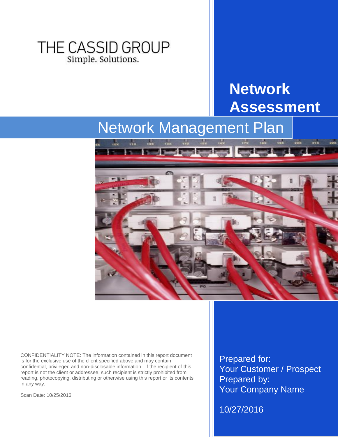### THE CASSID GROUP Simple. Solutions.

# **Network Assessment**

# Network Management Plan



CONFIDENTIALITY NOTE: The information contained in this report document is for the exclusive use of the client specified above and may contain confidential, privileged and non-disclosable information. If the recipient of this report is not the client or addressee, such recipient is strictly prohibited from reading, photocopying, distributing or otherwise using this report or its contents in any way.

Scan Date: 10/25/2016

Prepared for: Your Customer / Prospect Prepared by: Your Company Name

10/27/2016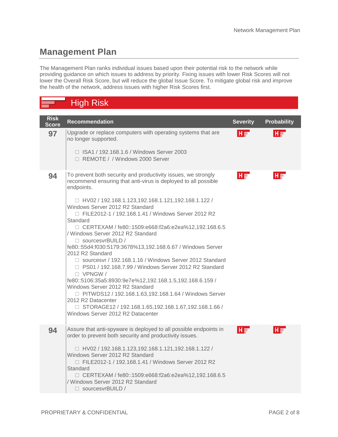#### **Management Plan**

The Management Plan ranks individual issues based upon their potential risk to the network while providing guidance on which issues to address by priority. Fixing issues with lower Risk Scores will not lower the Overall Risk Score, but will reduce the global Issue Score. To mitigate global risk and improve the health of the network, address issues with higher Risk Scores first.

### High Risk

| <b>Risk</b><br>Score | <b>Recommendation</b>                                                                                                                                                                                                                                                                                                                                                                                                                                                                                                                                                                                                                                                                                                                                                                                                                                                                                                                       | <b>Severity</b> | <b>Probability</b> |
|----------------------|---------------------------------------------------------------------------------------------------------------------------------------------------------------------------------------------------------------------------------------------------------------------------------------------------------------------------------------------------------------------------------------------------------------------------------------------------------------------------------------------------------------------------------------------------------------------------------------------------------------------------------------------------------------------------------------------------------------------------------------------------------------------------------------------------------------------------------------------------------------------------------------------------------------------------------------------|-----------------|--------------------|
| 97                   | Upgrade or replace computers with operating systems that are<br>no longer supported.<br>□ ISA1 / 192.168.1.6 / Windows Server 2003<br>□ REMOTE / / Windows 2000 Server                                                                                                                                                                                                                                                                                                                                                                                                                                                                                                                                                                                                                                                                                                                                                                      | $H =$           | HE                 |
|                      |                                                                                                                                                                                                                                                                                                                                                                                                                                                                                                                                                                                                                                                                                                                                                                                                                                                                                                                                             |                 |                    |
| 94                   | To prevent both security and productivity issues, we strongly<br>recommend ensuring that anti-virus is deployed to all possible<br>endpoints.<br>□ HV02 / 192.168.1.123,192.168.1.121,192.168.1.122 /<br>Windows Server 2012 R2 Standard<br>□ FILE2012-1 / 192.168.1.41 / Windows Server 2012 R2<br>Standard<br>□ CERTEXAM / fe80::1509:e668:f2a6:e2ea%12,192.168.6.5<br>/ Windows Server 2012 R2 Standard<br>□ sourcesvrBUILD /<br>fe80::55d4:f030:5179:3678%13,192.168.6.67 / Windows Server<br>2012 R2 Standard<br>□ sourcesvr / 192.168.1.16 / Windows Server 2012 Standard<br>□ PS01 / 192.168.7.99 / Windows Server 2012 R2 Standard<br>$\Box$ VPNGW /<br>fe80::5106:35a5:8930:9e7e%12,192.168.1.5,192.168.6.159 /<br>Windows Server 2012 R2 Standard<br>□ PITWDS12 / 192.168.1.63,192.168.1.64 / Windows Server<br>2012 R2 Datacenter<br>□ STORAGE12 / 192.168.1.65,192.168.1.67,192.168.1.66 /<br>Windows Server 2012 R2 Datacenter | HF              | HT                 |
|                      |                                                                                                                                                                                                                                                                                                                                                                                                                                                                                                                                                                                                                                                                                                                                                                                                                                                                                                                                             |                 |                    |
| 94                   | Assure that anti-spyware is deployed to all possible endpoints in<br>order to prevent both security and productivity issues.<br>□ HV02 / 192.168.1.123,192.168.1.121,192.168.1.122 /<br>Windows Server 2012 R2 Standard<br>□ FILE2012-1 / 192.168.1.41 / Windows Server 2012 R2<br>Standard<br>□ CERTEXAM / fe80::1509:e668:f2a6:e2ea%12,192.168.6.5<br>/ Windows Server 2012 R2 Standard<br>$\Box$ sourcesvrBUILD /                                                                                                                                                                                                                                                                                                                                                                                                                                                                                                                        | $H =$           | HI                 |
|                      |                                                                                                                                                                                                                                                                                                                                                                                                                                                                                                                                                                                                                                                                                                                                                                                                                                                                                                                                             |                 |                    |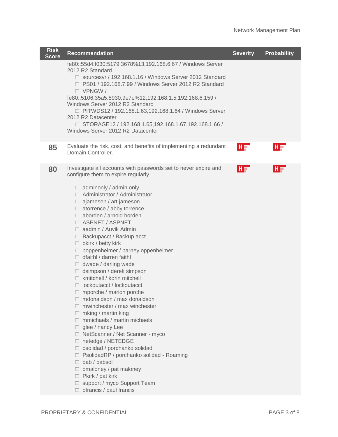| <b>Risk</b><br><b>Score</b> | <b>Recommendation</b>                                                                                                                                                                                                                                                                                                                                                                                                                                                                                                                                                                                                                                                                                                                                                                                                                                                                                                                                                                                                                                                                                                    | <b>Severity</b> | Probability |
|-----------------------------|--------------------------------------------------------------------------------------------------------------------------------------------------------------------------------------------------------------------------------------------------------------------------------------------------------------------------------------------------------------------------------------------------------------------------------------------------------------------------------------------------------------------------------------------------------------------------------------------------------------------------------------------------------------------------------------------------------------------------------------------------------------------------------------------------------------------------------------------------------------------------------------------------------------------------------------------------------------------------------------------------------------------------------------------------------------------------------------------------------------------------|-----------------|-------------|
|                             | fe80::55d4:f030:5179:3678%13,192.168.6.67 / Windows Server<br>2012 R2 Standard<br>□ sourcesvr / 192.168.1.16 / Windows Server 2012 Standard<br>□ PS01 / 192.168.7.99 / Windows Server 2012 R2 Standard<br>$\Box$ VPNGW /<br>fe80::5106:35a5:8930:9e7e%12,192.168.1.5,192.168.6.159 /<br>Windows Server 2012 R2 Standard<br>□ PITWDS12 / 192.168.1.63,192.168.1.64 / Windows Server<br>2012 R2 Datacenter<br>□ STORAGE12 / 192.168.1.65,192.168.1.67,192.168.1.66 /<br>Windows Server 2012 R2 Datacenter                                                                                                                                                                                                                                                                                                                                                                                                                                                                                                                                                                                                                  |                 |             |
| 85                          | Evaluate the risk, cost, and benefits of implementing a redundant<br>Domain Controller.                                                                                                                                                                                                                                                                                                                                                                                                                                                                                                                                                                                                                                                                                                                                                                                                                                                                                                                                                                                                                                  | $H =$           | 吓           |
| 80                          | Investigate all accounts with passwords set to never expire and<br>configure them to expire regularly.<br>$\Box$ adminonly / admin only<br>□ Administrator / Administrator<br>$\Box$ ajameson / art jameson<br>$\Box$ atorrence / abby torrence<br>$\Box$ aborden / arnold borden<br>□ ASPNET / ASPNET<br>□ aadmin / Auvik Admin<br>$\Box$ Backupacct / Backup acct<br>$\Box$ bkirk / betty kirk<br>$\Box$ boppenheimer / barney oppenheimer<br>$\Box$ dfaithl / darren faithl<br>$\Box$ dwade / darling wade<br>$\Box$ dsimpson / derek simpson<br>□ kmitchell / korin mitchell<br>$\Box$ lockoutacct / lockoutacct<br>$\Box$ mporche / marion porche<br>mdonaldson / max donaldson<br>mwinchester / max winchester<br>mking / martin king<br>$\Box$<br>$\Box$ mmichaels / martin michaels<br>$\Box$ glee / nancy Lee<br>□ NetScanner / Net Scanner - myco<br>□ netedge / NETEDGE<br>□ psolidad / porchanko solidad<br>□ PsolidadRP / porchanko solidad - Roaming<br>$\Box$ pab / pabsol<br>$\Box$ pmaloney / pat maloney<br>$\Box$ Pkirk / pat kirk<br>□ support / myco Support Team<br>$\Box$ pfrancis / paul francis | HF              | HT          |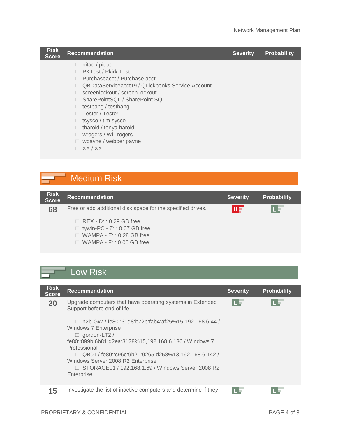| <b>Risk</b><br><b>Score</b> | <b>Recommendation</b>                                                                                                                                                                                                                                                                                                                                                   | <b>Severity</b> | <b>Probability</b> |
|-----------------------------|-------------------------------------------------------------------------------------------------------------------------------------------------------------------------------------------------------------------------------------------------------------------------------------------------------------------------------------------------------------------------|-----------------|--------------------|
|                             | pitad / pit ad<br>⊔<br><b>PKTest / Pkirk Test</b><br>Purchaseacct / Purchase acct<br>QBDataServiceacct19 / Quickbooks Service Account<br>screenlockout / screen lockout<br>□ SharePointSQL / SharePoint SQL<br>testbang / testbang<br>Tester / Tester<br>$\Box$ tsysco / tim sysco<br>tharold / tonya harold<br>wrogers / Will rogers<br>wpayne / webber payne<br>XX/XX |                 |                    |

#### Medium Risk ⊐

| <b>Risk</b><br><b>Score</b> | <b>Recommendation</b>                                                                                                                         | <b>Severity</b> | <b>Probability</b> |
|-----------------------------|-----------------------------------------------------------------------------------------------------------------------------------------------|-----------------|--------------------|
| 68                          | Free or add additional disk space for the specified drives.                                                                                   | HF              |                    |
|                             | $\Box$ REX - D:: 0.29 GB free<br>$\Box$ tywin-PC - Z:: 0.07 GB free<br>$\Box$ WAMPA - E:: 0.28 GB free<br>WAMPA - $F: 0.06$ GB free<br>$\Box$ |                 |                    |

## **Low Risk**

| <b>Risk</b><br><b>Score</b> | <b>Recommendation</b>                                                                                                                                                                                                                                                                                                                                                                                                                                         | <b>Severity</b> | <b>Probability</b> |
|-----------------------------|---------------------------------------------------------------------------------------------------------------------------------------------------------------------------------------------------------------------------------------------------------------------------------------------------------------------------------------------------------------------------------------------------------------------------------------------------------------|-----------------|--------------------|
| 20                          | Upgrade computers that have operating systems in Extended<br>Support before end of life.<br>b2b-GW / fe80::31d8:b72b:fab4:af25%15,192.168.6.44 /<br>П<br><b>Windows 7 Enterprise</b><br>$\Box$ gordon-LT2 /<br>fe80::899b:6b81:d2ea:3128%15,192.168.6.136 / Windows 7<br>Professional<br>$\Box$ QB01 / fe80::c96c:9b21:9265:d258%13,192.168.6.142 /<br>Windows Server 2008 R2 Enterprise<br>□ STORAGE01 / 192.168.1.69 / Windows Server 2008 R2<br>Enterprise | II              |                    |
| 15                          | Investigate the list of inactive computers and determine if they                                                                                                                                                                                                                                                                                                                                                                                              |                 |                    |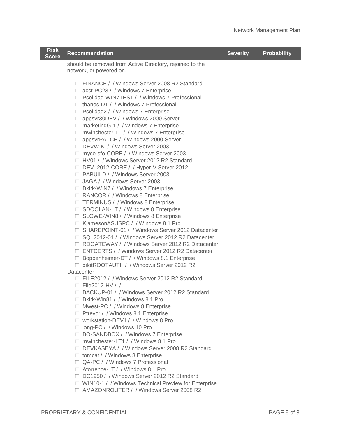| <b>Risk</b><br><b>Score</b> | <b>Recommendation</b>                                                                                                                                                                                                                                                                                                                                                                                                                                                                                                                                                                                                                                                                                                                                                                                                                                                                                                                                                                                                                                                                                                                                                                                                                                                                                                                                                                                                                                     | <b>Severity</b> | Probability |
|-----------------------------|-----------------------------------------------------------------------------------------------------------------------------------------------------------------------------------------------------------------------------------------------------------------------------------------------------------------------------------------------------------------------------------------------------------------------------------------------------------------------------------------------------------------------------------------------------------------------------------------------------------------------------------------------------------------------------------------------------------------------------------------------------------------------------------------------------------------------------------------------------------------------------------------------------------------------------------------------------------------------------------------------------------------------------------------------------------------------------------------------------------------------------------------------------------------------------------------------------------------------------------------------------------------------------------------------------------------------------------------------------------------------------------------------------------------------------------------------------------|-----------------|-------------|
|                             | should be removed from Active Directory, rejoined to the<br>network, or powered on.                                                                                                                                                                                                                                                                                                                                                                                                                                                                                                                                                                                                                                                                                                                                                                                                                                                                                                                                                                                                                                                                                                                                                                                                                                                                                                                                                                       |                 |             |
|                             | □ FINANCE / / Windows Server 2008 R2 Standard<br>□ acct-PC23 / / Windows 7 Enterprise<br>□ Psolidad-WIN7TEST / / Windows 7 Professional<br>$\Box$ thanos-DT / / Windows 7 Professional<br>□ Psolidad2 / / Windows 7 Enterprise<br>□ appsvr30DEV / / Windows 2000 Server<br>$\Box$ marketing G-1 / / Windows 7 Enterprise<br>□ mwinchester-LT / / Windows 7 Enterprise<br>□ appsvrPATCH / / Windows 2000 Server<br>□ DEVWIKI / / Windows Server 2003<br>□ myco-sfo-CORE / / Windows Server 2003<br>□ HV01 / / Windows Server 2012 R2 Standard<br>□ DEV_2012-CORE / / Hyper-V Server 2012<br>□ PABUILD / / Windows Server 2003<br>□ JAGA / / Windows Server 2003<br>□ Bkirk-WIN7 / / Windows 7 Enterprise<br>□ RANCOR / / Windows 8 Enterprise<br>□ TERMINUS / / Windows 8 Enterprise<br>□ SDOOLAN-LT / / Windows 8 Enterprise<br>□ SLOWE-WIN8 / / Windows 8 Enterprise<br>□ KjamesonASUSPC / / Windows 8.1 Pro<br>□ SHAREPOINT-01 / / Windows Server 2012 Datacenter<br>□ SQL2012-01 / / Windows Server 2012 R2 Datacenter<br>□ RDGATEWAY / / Windows Server 2012 R2 Datacenter<br>□ ENTCERTS / / Windows Server 2012 R2 Datacenter<br>□ Boppenheimer-DT / / Windows 8.1 Enterprise<br>□ pilotROOTAUTH / / Windows Server 2012 R2<br>Datacenter<br>□ FILE2012 / / Windows Server 2012 R2 Standard<br>$\Box$ File2012-HV / /<br>□ BACKUP-01 / / Windows Server 2012 R2 Standard<br>□ Bkirk-Win81 / / Windows 8.1 Pro<br>□ Mwest-PC / / Windows 8 Enterprise |                 |             |
|                             | □ Ptrevor / / Windows 8.1 Enterprise<br>□ workstation-DEV1 / / Windows 8 Pro<br>□ long-PC / / Windows 10 Pro                                                                                                                                                                                                                                                                                                                                                                                                                                                                                                                                                                                                                                                                                                                                                                                                                                                                                                                                                                                                                                                                                                                                                                                                                                                                                                                                              |                 |             |
|                             | □ BO-SANDBOX / / Windows 7 Enterprise<br>□ mwinchester-LT1 / / Windows 8.1 Pro<br>□ DEVKASEYA / / Windows Server 2008 R2 Standard<br>$\Box$ tomcat / / Windows 8 Enterprise<br>□ QA-PC / / Windows 7 Professional<br>$\Box$ Atorrence-LT / / Windows 8.1 Pro<br>DC1950 / / Windows Server 2012 R2 Standard<br>□ WIN10-1 / / Windows Technical Preview for Enterprise<br>□ AMAZONROUTER / / Windows Server 2008 R2                                                                                                                                                                                                                                                                                                                                                                                                                                                                                                                                                                                                                                                                                                                                                                                                                                                                                                                                                                                                                                         |                 |             |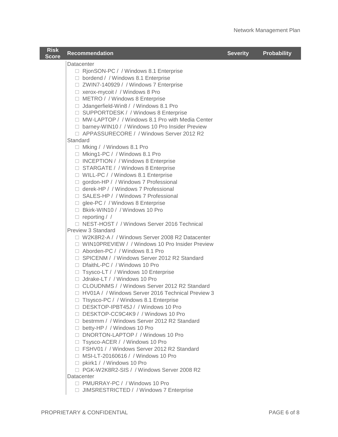| <b>Risk</b><br><b>Score</b> | <b>Recommendation</b>                                                                                                                                                                                                                                                                                                                                                                                                                                                                                                                                                                                                                                                                                                                                                                                                                                                                                                                                                     | <b>Severity</b> | <b>Probability</b> |
|-----------------------------|---------------------------------------------------------------------------------------------------------------------------------------------------------------------------------------------------------------------------------------------------------------------------------------------------------------------------------------------------------------------------------------------------------------------------------------------------------------------------------------------------------------------------------------------------------------------------------------------------------------------------------------------------------------------------------------------------------------------------------------------------------------------------------------------------------------------------------------------------------------------------------------------------------------------------------------------------------------------------|-----------------|--------------------|
|                             | Datacenter<br>□ RjonSON-PC / / Windows 8.1 Enterprise<br>□ bordend / / Windows 8.1 Enterprise<br>□ ZWIN7-140929 / / Windows 7 Enterprise<br>$\Box$ xerox-mycoit / / Windows 8 Pro<br>□ METRO / / Windows 8 Enterprise<br>□ Jdangerfield-Win8 / / Windows 8.1 Pro<br>□ SUPPORTDESK / / Windows 8 Enterprise<br>□ MW-LAPTOP / / Windows 8.1 Pro with Media Center<br>□ barney-WIN10 / / Windows 10 Pro Insider Preview<br>□ APPASSURECORE / / Windows Server 2012 R2                                                                                                                                                                                                                                                                                                                                                                                                                                                                                                        |                 |                    |
|                             | Standard<br>□ Mking / / Windows 8.1 Pro<br>□ Mking1-PC / / Windows 8.1 Pro<br>□ INCEPTION / / Windows 8 Enterprise<br>□ STARGATE / / Windows 8 Enterprise<br>□ WILL-PC / / Windows 8.1 Enterprise<br>□ gordon-HP / / Windows 7 Professional<br>$\Box$ derek-HP / / Windows 7 Professional<br>□ SALES-HP / / Windows 7 Professional<br>□ glee-PC / / Windows 8 Enterprise<br>□ Bkirk-WIN10 / / Windows 10 Pro<br>$\Box$ reporting / /                                                                                                                                                                                                                                                                                                                                                                                                                                                                                                                                      |                 |                    |
|                             | □ NEST-HOST / / Windows Server 2016 Technical<br>Preview 3 Standard<br>□ W2K8R2-A / / Windows Server 2008 R2 Datacenter<br>□ WIN10PREVIEW / / Windows 10 Pro Insider Preview<br>□ Aborden-PC / / Windows 8.1 Pro<br>□ SPICENM / / Windows Server 2012 R2 Standard<br>□ DfaithL-PC / / Windows 10 Pro<br>□ Tsysco-LT / / Windows 10 Enterprise<br>$\Box$ Jdrake-LT / / Windows 10 Pro<br>□ CLOUDNMS / / Windows Server 2012 R2 Standard<br>□ HV01A / / Windows Server 2016 Technical Preview 3<br>□ Tlsysco-PC / / Windows 8.1 Enterprise<br>□ DESKTOP-IPBT45J / / Windows 10 Pro<br>□ DESKTOP-CC9C4K9 / / Windows 10 Pro<br>D bestrmm / / Windows Server 2012 R2 Standard<br>□ betty-HP / / Windows 10 Pro<br>□ DNORTON-LAPTOP / / Windows 10 Pro<br>□ Tsysco-ACER / / Windows 10 Pro<br>□ FSHV01 / / Windows Server 2012 R2 Standard<br>□ MSI-LT-20160616 / / Windows 10 Pro<br>□ pkirk1 / / Windows 10 Pro<br>□ PGK-W2K8R2-SIS / / Windows Server 2008 R2<br>Datacenter |                 |                    |
|                             | □ PMURRAY-PC / / Windows 10 Pro<br>□ JIMSRESTRICTED / / Windows 7 Enterprise                                                                                                                                                                                                                                                                                                                                                                                                                                                                                                                                                                                                                                                                                                                                                                                                                                                                                              |                 |                    |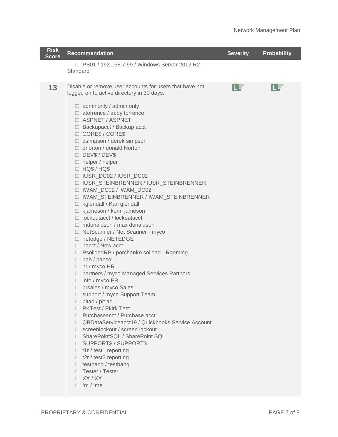| <b>Risk</b><br><b>Score</b> | <b>Recommendation</b>                                                                                                                                                                                                                                                                                                                                                                                                                                                                                                                                                                                                                                                                                                                                                                                                                                                                                                                                                                                                                                                                                                                                                                                                                                                                                                                                                                        | <b>Severity</b> | <b>Probability</b> |
|-----------------------------|----------------------------------------------------------------------------------------------------------------------------------------------------------------------------------------------------------------------------------------------------------------------------------------------------------------------------------------------------------------------------------------------------------------------------------------------------------------------------------------------------------------------------------------------------------------------------------------------------------------------------------------------------------------------------------------------------------------------------------------------------------------------------------------------------------------------------------------------------------------------------------------------------------------------------------------------------------------------------------------------------------------------------------------------------------------------------------------------------------------------------------------------------------------------------------------------------------------------------------------------------------------------------------------------------------------------------------------------------------------------------------------------|-----------------|--------------------|
|                             | □ PS01 / 192.168.7.99 / Windows Server 2012 R2<br>Standard                                                                                                                                                                                                                                                                                                                                                                                                                                                                                                                                                                                                                                                                                                                                                                                                                                                                                                                                                                                                                                                                                                                                                                                                                                                                                                                                   |                 |                    |
| 13                          | Disable or remove user accounts for users that have not<br>logged on to active directory in 30 days.<br>$\Box$ adminonly / admin only<br>$\Box$ atorrence / abby torrence<br>ASPNET / ASPNET<br>$\Box$ Backupacct / Backup acct<br>□ CORE\$ / CORE\$<br>dsimpson / derek simpson<br>$\Box$ dnorton / donald Norton<br>DEV\$/DEV\$<br>$\Box$ helper / helper<br>$\Box$ HQ\$ / HQ\$<br>□ IUSR_DC02 / IUSR_DC02<br>□ IUSR_STEINBRENNER / IUSR_STEINBRENNER<br>□ IWAM_DC02 / IWAM_DC02<br>□ IWAM_STEINBRENNER / IWAM_STEINBRENNER<br>□ kglendall / Karl glendall<br>□ kjameson / korin jameson<br>$\Box$ lockoutacct / lockoutacct<br>$\Box$ mdonaldson / max donaldson<br>□ NetScanner / Net Scanner - myco<br>□ netedge / NETEDGE<br>$\Box$ nacct / New acct<br>□ PsolidadRP / porchanko solidad - Roaming<br>$\Box$ pab / pabsol<br>$\Box$ hr / myco HR<br>□ partners / myco Managed Services Partners<br>$\Box$ info / myco PR<br>□ prsales / myco Sales<br>□ support / myco Support Team<br>$\Box$ pitad / pit ad<br>□ PKTest / Pkirk Test<br>□ Purchaseacct / Purchase acct<br>□ QBDataServiceacct19 / Quickbooks Service Account<br>$\Box$ screenlockout / screen lockout<br>□ SharePointSQL / SharePoint SQL<br>□ SUPPORT\$ / SUPPORT\$<br>$\Box$ t1r / test1 reporting<br>t2r / test2 reporting<br>$\Box$ testbang / testbang<br>□ Tester / Tester<br>$\Box$ XX / XX<br>$\Box$ !m / !me | u v             |                    |